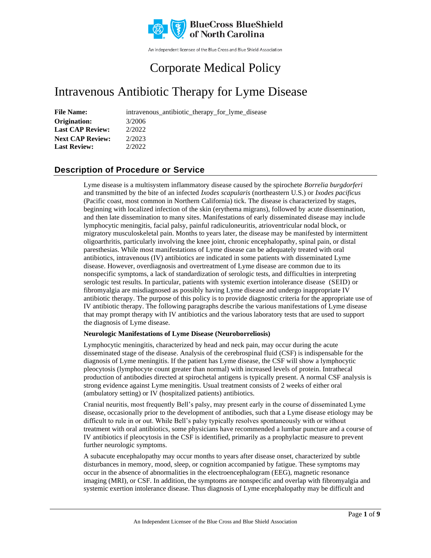

An independent licensee of the Blue Cross and Blue Shield Association

# Corporate Medical Policy

# Intravenous Antibiotic Therapy for Lyme Disease

**File Name:** intravenous\_antibiotic\_therapy\_for\_lyme\_disease

**Origination:** 3/2006 **Last CAP Review:** 2/2022 **Next CAP Review:** 2/2023 **Last Review:** 2/2022

## **Description of Procedure or Service**

Lyme disease is a multisystem inflammatory disease caused by the spirochete *Borrelia burgdorferi* and transmitted by the bite of an infected *Ixodes scapularis* (northeastern U.S.) or *Ixodes pacificus* (Pacific coast, most common in Northern California) tick. The disease is characterized by stages, beginning with localized infection of the skin (erythema migrans), followed by acute dissemination, and then late dissemination to many sites. Manifestations of early disseminated disease may include lymphocytic meningitis, facial palsy, painful radiculoneuritis, atrioventricular nodal block, or migratory musculoskeletal pain. Months to years later, the disease may be manifested by intermittent oligoarthritis, particularly involving the knee joint, chronic encephalopathy, spinal pain, or distal paresthesias. While most manifestations of Lyme disease can be adequately treated with oral antibiotics, intravenous (IV) antibiotics are indicated in some patients with disseminated Lyme disease. However, overdiagnosis and overtreatment of Lyme disease are common due to its nonspecific symptoms, a lack of standardization of serologic tests, and difficulties in interpreting serologic test results. In particular, patients with systemic exertion intolerance disease (SEID) or fibromyalgia are misdiagnosed as possibly having Lyme disease and undergo inappropriate IV antibiotic therapy. The purpose of this policy is to provide diagnostic criteria for the appropriate use of IV antibiotic therapy. The following paragraphs describe the various manifestations of Lyme disease that may prompt therapy with IV antibiotics and the various laboratory tests that are used to support the diagnosis of Lyme disease.

### **Neurologic Manifestations of Lyme Disease (Neuroborreliosis)**

Lymphocytic meningitis, characterized by head and neck pain, may occur during the acute disseminated stage of the disease. Analysis of the cerebrospinal fluid (CSF) is indispensable for the diagnosis of Lyme meningitis. If the patient has Lyme disease, the CSF will show a lymphocytic pleocytosis (lymphocyte count greater than normal) with increased levels of protein. Intrathecal production of antibodies directed at spirochetal antigens is typically present. A normal CSF analysis is strong evidence against Lyme meningitis. Usual treatment consists of 2 weeks of either oral (ambulatory setting) or IV (hospitalized patients) antibiotics.

Cranial neuritis, most frequently Bell's palsy, may present early in the course of disseminated Lyme disease, occasionally prior to the development of antibodies, such that a Lyme disease etiology may be difficult to rule in or out. While Bell's palsy typically resolves spontaneously with or without treatment with oral antibiotics, some physicians have recommended a lumbar puncture and a course of IV antibiotics if pleocytosis in the CSF is identified, primarily as a prophylactic measure to prevent further neurologic symptoms.

A subacute encephalopathy may occur months to years after disease onset, characterized by subtle disturbances in memory, mood, sleep, or cognition accompanied by fatigue. These symptoms may occur in the absence of abnormalities in the electroencephalogram (EEG), magnetic resonance imaging (MRI), or CSF. In addition, the symptoms are nonspecific and overlap with fibromyalgia and systemic exertion intolerance disease. Thus diagnosis of Lyme encephalopathy may be difficult and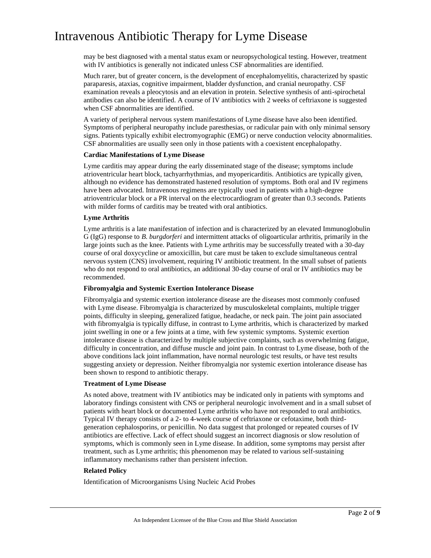may be best diagnosed with a mental status exam or neuropsychological testing. However, treatment with IV antibiotics is generally not indicated unless CSF abnormalities are identified.

Much rarer, but of greater concern, is the development of encephalomyelitis, characterized by spastic paraparesis, ataxias, cognitive impairment, bladder dysfunction, and cranial neuropathy. CSF examination reveals a pleocytosis and an elevation in protein. Selective synthesis of anti-spirochetal antibodies can also be identified. A course of IV antibiotics with 2 weeks of ceftriaxone is suggested when CSF abnormalities are identified.

A variety of peripheral nervous system manifestations of Lyme disease have also been identified. Symptoms of peripheral neuropathy include paresthesias, or radicular pain with only minimal sensory signs. Patients typically exhibit electromyographic (EMG) or nerve conduction velocity abnormalities. CSF abnormalities are usually seen only in those patients with a coexistent encephalopathy.

#### **Cardiac Manifestations of Lyme Disease**

Lyme carditis may appear during the early disseminated stage of the disease; symptoms include atrioventricular heart block, tachyarrhythmias, and myopericarditis. Antibiotics are typically given, although no evidence has demonstrated hastened resolution of symptoms. Both oral and IV regimens have been advocated. Intravenous regimens are typically used in patients with a high-degree atrioventricular block or a PR interval on the electrocardiogram of greater than 0.3 seconds. Patients with milder forms of carditis may be treated with oral antibiotics.

#### **Lyme Arthritis**

Lyme arthritis is a late manifestation of infection and is characterized by an elevated Immunoglobulin G (IgG) response to *B. burgdorferi* and intermittent attacks of oligoarticular arthritis, primarily in the large joints such as the knee*.* Patients with Lyme arthritis may be successfully treated with a 30-day course of oral doxycycline or amoxicillin, but care must be taken to exclude simultaneous central nervous system (CNS) involvement, requiring IV antibiotic treatment. In the small subset of patients who do not respond to oral antibiotics, an additional 30-day course of oral or IV antibiotics may be recommended.

#### **Fibromyalgia and Systemic Exertion Intolerance Disease**

Fibromyalgia and systemic exertion intolerance disease are the diseases most commonly confused with Lyme disease. Fibromyalgia is characterized by musculoskeletal complaints, multiple trigger points, difficulty in sleeping, generalized fatigue, headache, or neck pain. The joint pain associated with fibromyalgia is typically diffuse, in contrast to Lyme arthritis, which is characterized by marked joint swelling in one or a few joints at a time, with few systemic symptoms. Systemic exertion intolerance disease is characterized by multiple subjective complaints, such as overwhelming fatigue, difficulty in concentration, and diffuse muscle and joint pain. In contrast to Lyme disease, both of the above conditions lack joint inflammation, have normal neurologic test results, or have test results suggesting anxiety or depression. Neither fibromyalgia nor systemic exertion intolerance disease has been shown to respond to antibiotic therapy.

### **Treatment of Lyme Disease**

As noted above, treatment with IV antibiotics may be indicated only in patients with symptoms and laboratory findings consistent with CNS or peripheral neurologic involvement and in a small subset of patients with heart block or documented Lyme arthritis who have not responded to oral antibiotics. Typical IV therapy consists of a 2- to 4-week course of ceftriaxone or cefotaxime, both thirdgeneration cephalosporins, or penicillin. No data suggest that prolonged or repeated courses of IV antibiotics are effective. Lack of effect should suggest an incorrect diagnosis or slow resolution of symptoms, which is commonly seen in Lyme disease. In addition, some symptoms may persist after treatment, such as Lyme arthritis; this phenomenon may be related to various self-sustaining inflammatory mechanisms rather than persistent infection.

#### **Related Policy**

Identification of Microorganisms Using Nucleic Acid Probes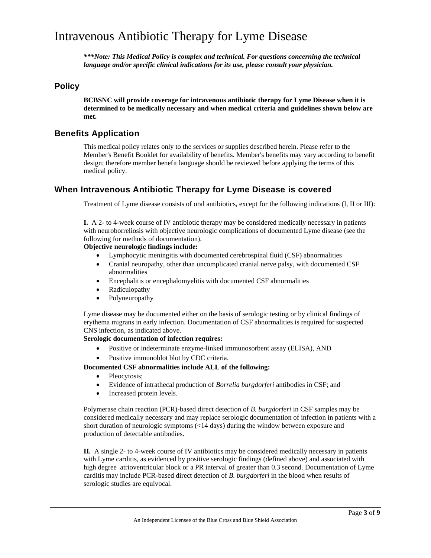*\*\*\*Note: This Medical Policy is complex and technical. For questions concerning the technical language and/or specific clinical indications for its use, please consult your physician.*

### **Policy**

**BCBSNC will provide coverage for intravenous antibiotic therapy for Lyme Disease when it is determined to be medically necessary and when medical criteria and guidelines shown below are met.**

### **Benefits Application**

This medical policy relates only to the services or supplies described herein. Please refer to the Member's Benefit Booklet for availability of benefits. Member's benefits may vary according to benefit design; therefore member benefit language should be reviewed before applying the terms of this medical policy.

### **When Intravenous Antibiotic Therapy for Lyme Disease is covered**

Treatment of Lyme disease consists of oral antibiotics, except for the following indications (I, II or III):

**I.** A 2- to 4-week course of IV antibiotic therapy may be considered medically necessary in patients with neuroborreliosis with objective neurologic complications of documented Lyme disease (see the following for methods of documentation).

### **Objective neurologic findings include:**

- Lymphocytic meningitis with documented cerebrospinal fluid (CSF) abnormalities
- Cranial neuropathy, other than uncomplicated cranial nerve palsy, with documented CSF abnormalities
- Encephalitis or encephalomyelitis with documented CSF abnormalities
- Radiculopathy
- Polyneuropathy

Lyme disease may be documented either on the basis of serologic testing or by clinical findings of erythema migrans in early infection. Documentation of CSF abnormalities is required for suspected CNS infection, as indicated above.

**Serologic documentation of infection requires:**

- Positive or indeterminate enzyme-linked immunosorbent assay (ELISA), AND
- Positive immunoblot blot by CDC criteria.

#### **Documented CSF abnormalities include ALL of the following:**

- Pleocytosis;
- Evidence of intrathecal production of *Borrelia burgdorferi* antibodies in CSF; and
- Increased protein levels.

Polymerase chain reaction (PCR)-based direct detection of *B. burgdorferi* in CSF samples may be considered medically necessary and may replace serologic documentation of infection in patients with a short duration of neurologic symptoms (<14 days) during the window between exposure and production of detectable antibodies.

**II.** A single 2- to 4-week course of IV antibiotics may be considered medically necessary in patients with Lyme carditis, as evidenced by positive serologic findings (defined above) and associated with high degree atrioventricular block or a PR interval of greater than 0.3 second. Documentation of Lyme carditis may include PCR-based direct detection of *B. burgdorferi* in the blood when results of serologic studies are equivocal.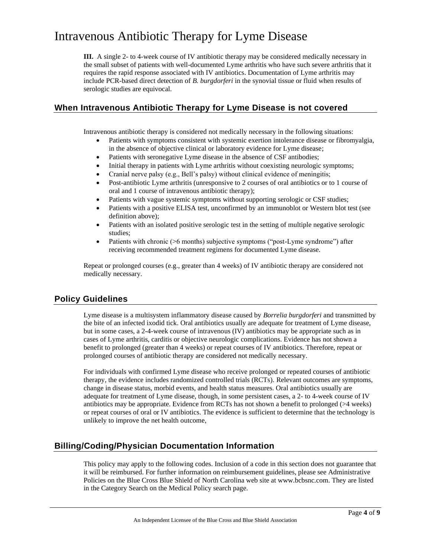**III.** A single 2- to 4-week course of IV antibiotic therapy may be considered medically necessary in the small subset of patients with well-documented Lyme arthritis who have such severe arthritis that it requires the rapid response associated with IV antibiotics. Documentation of Lyme arthritis may include PCR-based direct detection of *B. burgdorferi* in the synovial tissue or fluid when results of serologic studies are equivocal.

### **When Intravenous Antibiotic Therapy for Lyme Disease is not covered**

Intravenous antibiotic therapy is considered not medically necessary in the following situations:

- Patients with symptoms consistent with systemic exertion intolerance disease or fibromyalgia, in the absence of objective clinical or laboratory evidence for Lyme disease;
- Patients with seronegative Lyme disease in the absence of CSF antibodies;
- Initial therapy in patients with Lyme arthritis without coexisting neurologic symptoms;
- Cranial nerve palsy (e.g., Bell's palsy) without clinical evidence of meningitis;
- Post-antibiotic Lyme arthritis (unresponsive to 2 courses of oral antibiotics or to 1 course of oral and 1 course of intravenous antibiotic therapy);
- Patients with vague systemic symptoms without supporting serologic or CSF studies;
- Patients with a positive ELISA test, unconfirmed by an immunoblot or Western blot test (see definition above);
- Patients with an isolated positive serologic test in the setting of multiple negative serologic studies;
- Patients with chronic ( $>6$  months) subjective symptoms ("post-Lyme syndrome") after receiving recommended treatment regimens for documented Lyme disease.

Repeat or prolonged courses (e.g., greater than 4 weeks) of IV antibiotic therapy are considered not medically necessary.

### **Policy Guidelines**

Lyme disease is a multisystem inflammatory disease caused by *Borrelia burgdorferi* and transmitted by the bite of an infected ixodid tick. Oral antibiotics usually are adequate for treatment of Lyme disease, but in some cases, a 2-4-week course of intravenous (IV) antibiotics may be appropriate such as in cases of Lyme arthritis, carditis or objective neurologic complications. Evidence has not shown a benefit to prolonged (greater than 4 weeks) or repeat courses of IV antibiotics. Therefore, repeat or prolonged courses of antibiotic therapy are considered not medically necessary.

For individuals with confirmed Lyme disease who receive prolonged or repeated courses of antibiotic therapy, the evidence includes randomized controlled trials (RCTs). Relevant outcomes are symptoms, change in disease status, morbid events, and health status measures. Oral antibiotics usually are adequate for treatment of Lyme disease, though, in some persistent cases, a 2- to 4-week course of IV antibiotics may be appropriate. Evidence from RCTs has not shown a benefit to prolonged  $(>4$  weeks) or repeat courses of oral or IV antibiotics. The evidence is sufficient to determine that the technology is unlikely to improve the net health outcome,

### **Billing/Coding/Physician Documentation Information**

This policy may apply to the following codes. Inclusion of a code in this section does not guarantee that it will be reimbursed. For further information on reimbursement guidelines, please see Administrative Policies on the Blue Cross Blue Shield of North Carolina web site at www.bcbsnc.com. They are listed in the Category Search on the Medical Policy search page.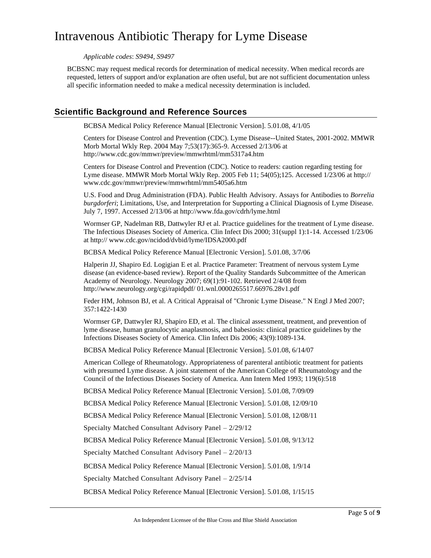*Applicable codes*: *S9494, S9497*

BCBSNC may request medical records for determination of medical necessity. When medical records are requested, letters of support and/or explanation are often useful, but are not sufficient documentation unless all specific information needed to make a medical necessity determination is included.

### **Scientific Background and Reference Sources**

BCBSA Medical Policy Reference Manual [Electronic Version]. 5.01.08, 4/1/05

Centers for Disease Control and Prevention (CDC). Lyme Disease--United States, 2001-2002. MMWR Morb Mortal Wkly Rep. 2004 May 7;53(17):365-9. Accessed 2/13/06 at http://www.cdc.gov/mmwr/preview/mmwrhtml/mm5317a4.htm

Centers for Disease Control and Prevention (CDC). Notice to readers: caution regarding testing for Lyme disease. MMWR Morb Mortal Wkly Rep. 2005 Feb 11; 54(05);125. Accessed 1/23/06 at http:// www.cdc.gov/mmwr/preview/mmwrhtml/mm5405a6.htm

U.S. Food and Drug Administration (FDA). Public Health Advisory. Assays for Antibodies to *Borrelia burgdorferi*; Limitations, Use, and Interpretation for Supporting a Clinical Diagnosis of Lyme Disease. July 7, 1997. Accessed 2/13/06 at http://www.fda.gov/cdrh/lyme.html

Wormser GP, Nadelman RB, Dattwyler RJ et al. Practice guidelines for the treatment of Lyme disease. The Infectious Diseases Society of America. Clin Infect Dis 2000; 31(suppl 1):1-14. Accessed 1/23/06 at http:// www.cdc.gov/ncidod/dvbid/lyme/IDSA2000.pdf

BCBSA Medical Policy Reference Manual [Electronic Version]. 5.01.08, 3/7/06

Halperin JJ, Shapiro Ed. Logigian E et al. Practice Parameter: Treatment of nervous system Lyme disease (an evidence-based review). Report of the Quality Standards Subcommittee of the American Academy of Neurology. Neurology 2007; 69(1):91-102. Retrieved 2/4/08 from http://www.neurology.org/cgi/rapidpdf/ 01.wnl.0000265517.66976.28v1.pdf

Feder HM, Johnson BJ, et al. A Critical Appraisal of "Chronic Lyme Disease." N Engl J Med 2007; 357:1422-1430

Wormser GP, Dattwyler RJ, Shapiro ED, et al. The clinical assessment, treatment, and prevention of lyme disease, human granulocytic anaplasmosis, and babesiosis: clinical practice guidelines by the Infections Diseases Society of America. Clin Infect Dis 2006; 43(9):1089-134.

BCBSA Medical Policy Reference Manual [Electronic Version]. 5.01.08, 6/14/07

American College of Rheumatology. Appropriateness of parenteral antibiotic treatment for patients with presumed Lyme disease. A joint statement of the American College of Rheumatology and the Council of the Infectious Diseases Society of America. Ann Intern Med 1993; 119(6):518

BCBSA Medical Policy Reference Manual [Electronic Version]. 5.01.08, 7/09/09

BCBSA Medical Policy Reference Manual [Electronic Version]. 5.01.08, 12/09/10

BCBSA Medical Policy Reference Manual [Electronic Version]. 5.01.08, 12/08/11

Specialty Matched Consultant Advisory Panel – 2/29/12

BCBSA Medical Policy Reference Manual [Electronic Version]. 5.01.08, 9/13/12

Specialty Matched Consultant Advisory Panel – 2/20/13

BCBSA Medical Policy Reference Manual [Electronic Version]. 5.01.08, 1/9/14

Specialty Matched Consultant Advisory Panel – 2/25/14

BCBSA Medical Policy Reference Manual [Electronic Version]. 5.01.08, 1/15/15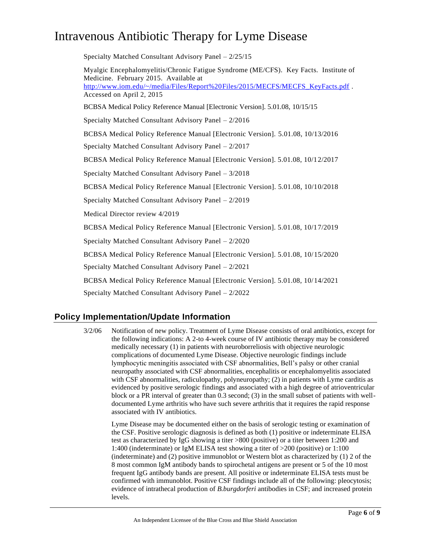Specialty Matched Consultant Advisory Panel – 2/25/15 Myalgic Encephalomyelitis/Chronic Fatigue Syndrome (ME/CFS). Key Facts. Institute of Medicine. February 2015. Available at [http://www.iom.edu/~/media/Files/Report%20Files/2015/MECFS/MECFS\\_KeyFacts.pdf](http://www.iom.edu/~/media/Files/Report%20Files/2015/MECFS/MECFS_KeyFacts.pdf) . Accessed on April 2, 2015 BCBSA Medical Policy Reference Manual [Electronic Version]. 5.01.08, 10/15/15 Specialty Matched Consultant Advisory Panel – 2/2016 BCBSA Medical Policy Reference Manual [Electronic Version]. 5.01.08, 10/13/2016 Specialty Matched Consultant Advisory Panel – 2/2017 BCBSA Medical Policy Reference Manual [Electronic Version]. 5.01.08, 10/12/2017 Specialty Matched Consultant Advisory Panel – 3/2018 BCBSA Medical Policy Reference Manual [Electronic Version]. 5.01.08, 10/10/2018 Specialty Matched Consultant Advisory Panel – 2/2019 Medical Director review 4/2019 BCBSA Medical Policy Reference Manual [Electronic Version]. 5.01.08, 10/17/2019 Specialty Matched Consultant Advisory Panel – 2/2020 BCBSA Medical Policy Reference Manual [Electronic Version]. 5.01.08, 10/15/2020 Specialty Matched Consultant Advisory Panel – 2/2021 BCBSA Medical Policy Reference Manual [Electronic Version]. 5.01.08, 10/14/2021 Specialty Matched Consultant Advisory Panel – 2/2022

### **Policy Implementation/Update Information**

3/2/06 Notification of new policy. Treatment of Lyme Disease consists of oral antibiotics, except for the following indications: A 2-to 4-week course of IV antibiotic therapy may be considered medically necessary (1) in patients with neuroborreliosis with objective neurologic complications of documented Lyme Disease. Objective neurologic findings include lymphocytic meningitis associated with CSF abnormalities, Bell's palsy or other cranial neuropathy associated with CSF abnormalities, encephalitis or encephalomyelitis associated with CSF abnormalities, radiculopathy, polyneuropathy; (2) in patients with Lyme carditis as evidenced by positive serologic findings and associated with a high degree of atrioventricular block or a PR interval of greater than 0.3 second; (3) in the small subset of patients with welldocumented Lyme arthritis who have such severe arthritis that it requires the rapid response associated with IV antibiotics.

Lyme Disease may be documented either on the basis of serologic testing or examination of the CSF. Positive serologic diagnosis is defined as both (1) positive or indeterminate ELISA test as characterized by IgG showing a titer >800 (positive) or a titer between 1:200 and 1:400 (indeterminate) or IgM ELISA test showing a titer of >200 (positive) or 1:100 (indeterminate) and (2) positive immunoblot or Western blot as characterized by (1) 2 of the 8 most common IgM antibody bands to spirochetal antigens are present or 5 of the 10 most frequent IgG antibody bands are present. All positive or indeterminate ELISA tests must be confirmed with immunoblot. Positive CSF findings include all of the following: pleocytosis; evidence of intrathecal production of *B.burgdorferi* antibodies in CSF; and increased protein levels.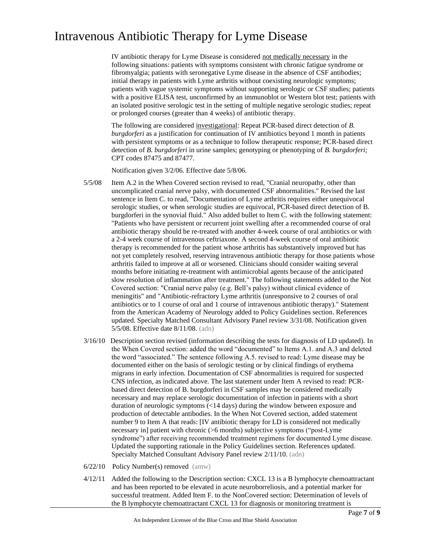IV antibiotic therapy for Lyme Disease is considered not medically necessary in the following situations: patients with symptoms consistent with chronic fatigue syndrome or fibromyalgia; patients with seronegative Lyme disease in the absence of CSF antibodies; initial therapy in patients with Lyme arthritis without coexisting neurologic symptoms; patients with vague systemic symptoms without supporting serologic or CSF studies; patients with a positive ELISA test, unconfirmed by an immunoblot or Western blot test; patients with an isolated positive serologic test in the setting of multiple negative serologic studies; repeat or prolonged courses (greater than 4 weeks) of antibiotic therapy.

The following are considered investigational: Repeat PCR-based direct detection of *B. burgdorferi* as a justification for continuation of IV antibiotics beyond 1 month in patients with persistent symptoms or as a technique to follow therapeutic response; PCR-based direct detection of *B. burgdorferi* in urine samples; genotyping or phenotyping of *B. burgdorferi;*  CPT codes 87475 and 87477*.*

Notification given 3/2/06. Effective date 5/8/06.

- 5/5/08 Item A.2 in the When Covered section revised to read, "Cranial neuropathy, other than uncomplicated cranial nerve palsy, with documented CSF abnormalities." Revised the last sentence in Item C. to read, "Documentation of Lyme arthritis requires either unequivocal serologic studies, or when serologic studies are equivocal, PCR-based direct detection of B. burgdorferi in the synovial fluid." Also added bullet to Item C. with the following statement: "Patients who have persistent or recurrent joint swelling after a recommended course of oral antibiotic therapy should be re-treated with another 4-week course of oral antibiotics or with a 2-4 week course of intravenous ceftriaxone. A second 4-week course of oral antibiotic therapy is recommended for the patient whose arthritis has substantively improved but has not yet completely resolved, reserving intravenous antibiotic therapy for those patients whose arthritis failed to improve at all or worsened. Clinicians should consider waiting several months before initiating re-treatment with antimicrobial agents because of the anticipated slow resolution of inflammation after treatment." The following statements added to the Not Covered section: "Cranial nerve palsy (e.g. Bell's palsy) without clinical evidence of meningitis" and "Antibiotic-refractory Lyme arthritis (unresponsive to 2 courses of oral antibiotics or to 1 course of oral and 1 course of intravenous antibiotic therapy)." Statement from the American Academy of Neurology added to Policy Guidelines section. References updated. Specialty Matched Consultant Advisory Panel review 3/31/08. Notification given 5/5/08. Effective date 8/11/08. (adn)
- 3/16/10 Description section revised (information describing the tests for diagnosis of LD updated). In the When Covered section: added the word "documented" to Items A.1. and A.3 and deleted the word "associated." The sentence following A.5. revised to read: Lyme disease may be documented either on the basis of serologic testing or by clinical findings of erythema migrans in early infection. Documentation of CSF abnormalities is required for suspected CNS infection, as indicated above. The last statement under Item A revised to read: PCRbased direct detection of B. burgdorferi in CSF samples may be considered medically necessary and may replace serologic documentation of infection in patients with a short duration of neurologic symptoms (<14 days) during the window between exposure and production of detectable antibodies. In the When Not Covered section, added statement number 9 to Item A that reads: [IV antibiotic therapy for LD is considered not medically necessary in] patient with chronic (>6 months) subjective symptoms ("post-Lyme syndrome") after receiving recommended treatment regimens for documented Lyme disease. Updated the supporting rationale in the Policy Guidelines section. References updated. Specialty Matched Consultant Advisory Panel review 2/11/10. (adn)
- 6/22/10 Policy Number(s) removed (amw)
- 4/12/11 Added the following to the Description section: CXCL 13 is a B lymphocyte chemoattractant and has been reported to be elevated in acute neuroborreliosis, and a potential marker for successful treatment. Added Item F. to the NonCovered section: Determination of levels of the B lymphocyte chemoattractant CXCL 13 for diagnosis or monitoring treatment is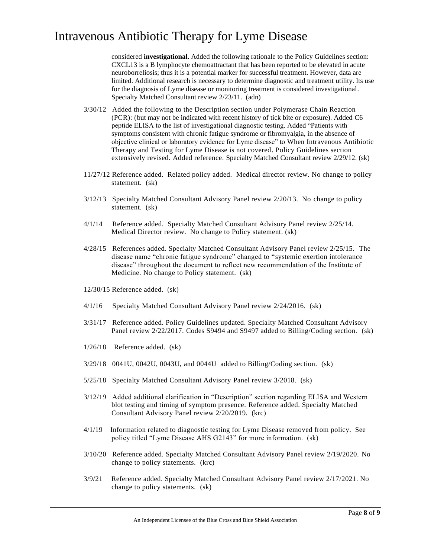considered **investigational**. Added the following rationale to the Policy Guidelines section: CXCL13 is a B lymphocyte chemoattractant that has been reported to be elevated in acute neuroborreliosis; thus it is a potential marker for successful treatment. However, data are limited. Additional research is necessary to determine diagnostic and treatment utility. Its use for the diagnosis of Lyme disease or monitoring treatment is considered investigational. Specialty Matched Consultant review 2/23/11. (adn)

- 3/30/12 Added the following to the Description section under Polymerase Chain Reaction (PCR): (but may not be indicated with recent history of tick bite or exposure). Added C6 peptide ELISA to the list of investigational diagnostic testing. Added "Patients with symptoms consistent with chronic fatigue syndrome or fibromyalgia, in the absence of objective clinical or laboratory evidence for Lyme disease" to When Intravenous Antibiotic Therapy and Testing for Lyme Disease is not covered. Policy Guidelines section extensively revised. Added reference. Specialty Matched Consultant review 2/29/12. (sk)
- 11/27/12 Reference added. Related policy added. Medical director review. No change to policy statement. (sk)
- 3/12/13 Specialty Matched Consultant Advisory Panel review 2/20/13. No change to policy statement. (sk)
- 4/1/14 Reference added. Specialty Matched Consultant Advisory Panel review 2/25/14. Medical Director review. No change to Policy statement. (sk)
- 4/28/15 References added. Specialty Matched Consultant Advisory Panel review 2/25/15. The disease name "chronic fatigue syndrome" changed to "systemic exertion intolerance disease" throughout the document to reflect new recommendation of the Institute of Medicine. No change to Policy statement. (sk)
- 12/30/15 Reference added. (sk)
- 4/1/16 Specialty Matched Consultant Advisory Panel review 2/24/2016. (sk)
- 3/31/17 Reference added. Policy Guidelines updated. Specialty Matched Consultant Advisory Panel review 2/22/2017. Codes S9494 and S9497 added to Billing/Coding section. (sk)
- 1/26/18 Reference added. (sk)
- 3/29/18 0041U, 0042U, 0043U, and 0044U added to Billing/Coding section. (sk)
- 5/25/18 Specialty Matched Consultant Advisory Panel review 3/2018. (sk)
- 3/12/19 Added additional clarification in "Description" section regarding ELISA and Western blot testing and timing of symptom presence. Reference added. Specialty Matched Consultant Advisory Panel review 2/20/2019. (krc)
- 4/1/19 Information related to diagnostic testing for Lyme Disease removed from policy. See policy titled "Lyme Disease AHS G2143" for more information. (sk)
- 3/10/20 Reference added. Specialty Matched Consultant Advisory Panel review 2/19/2020. No change to policy statements. (krc)
- 3/9/21 Reference added. Specialty Matched Consultant Advisory Panel review 2/17/2021. No change to policy statements. (sk)